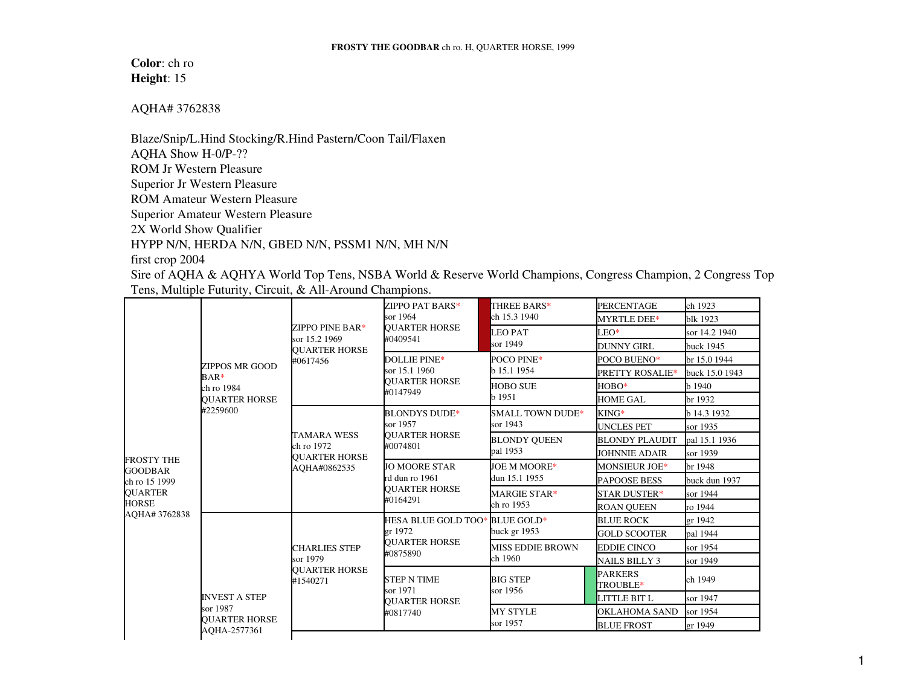**Color**: ch ro **Height**: 15

AQHA# 3762838

Blaze/Snip/L.Hind Stocking/R.Hind Pastern/Coon Tail/Flaxen AQHA Show H-0/P-?? ROM Jr Western Pleasure Superior Jr Western Pleasure ROM Amateur Western Pleasure Superior Amateur Western Pleasure 2X World Show Qualifier HYPP N/N, HERDA N/N, GBED N/N, PSSM1 N/N, MH N/N first crop 2004

Sire of AQHA & AQHYA World Top Tens, NSBA World & Reserve World Champions, Congress Champion, 2 Congress Top Tens, Multiple Futurity, Circuit, & All-Around Champions.

| <b>FROSTY THE</b><br><b>GOODBAR</b><br>ch ro 15 1999<br><b>QUARTER</b><br><b>HORSE</b><br>AOHA# 3762838 | <b>ZIPPOS MR GOOD</b><br>$BAR*$<br>ch ro 1984<br><b>OUARTER HORSE</b><br>#2259600 | ZIPPO PINE BAR*<br>sor 15.2 1969<br><b>OUARTER HORSE</b><br>#0617456     | ZIPPO PAT BARS*<br>sor 1964<br><b>OUARTER HORSE</b><br>#0409541               | THREE BARS*<br>ch 15.3 1940         | <b>PERCENTAGE</b><br><b>MYRTLE DEE*</b> | ch 1923<br>blk 1923 |
|---------------------------------------------------------------------------------------------------------|-----------------------------------------------------------------------------------|--------------------------------------------------------------------------|-------------------------------------------------------------------------------|-------------------------------------|-----------------------------------------|---------------------|
|                                                                                                         |                                                                                   |                                                                          |                                                                               | <b>LEO PAT</b><br>sor 1949          | $LEO*$                                  | sor 14.2 1940       |
|                                                                                                         |                                                                                   |                                                                          |                                                                               |                                     | <b>DUNNY GIRL</b>                       | buck 1945           |
|                                                                                                         |                                                                                   |                                                                          | <b>DOLLIE PINE*</b><br>sor 15.1 1960<br><b>OUARTER HORSE</b><br>#0147949      | POCO PINE*<br>b 15.1 1954           | POCO BUENO*                             | br 15.0 1944        |
|                                                                                                         |                                                                                   |                                                                          |                                                                               |                                     | <b>PRETTY ROSALIE*</b>                  | buck 15.0 1943      |
|                                                                                                         |                                                                                   |                                                                          |                                                                               | <b>HOBO SUE</b><br>b 1951           | НОВО*                                   | b 1940              |
|                                                                                                         |                                                                                   |                                                                          |                                                                               |                                     | <b>HOME GAL</b>                         | br 1932             |
|                                                                                                         |                                                                                   | <b>TAMARA WESS</b><br>ch ro 1972<br><b>OUARTER HORSE</b><br>AOHA#0862535 | <b>BLONDYS DUDE*</b><br>sor 1957<br><b>OUARTER HORSE</b><br>#0074801          | <b>SMALL TOWN DUDE*</b><br>sor 1943 | $KING*$                                 | b 14.3 1932         |
|                                                                                                         |                                                                                   |                                                                          |                                                                               |                                     | <b>UNCLES PET</b>                       | sor 1935            |
|                                                                                                         |                                                                                   |                                                                          |                                                                               | <b>BLONDY QUEEN</b><br>pal 1953     | <b>BLONDY PLAUDIT</b>                   | pal 15.1 1936       |
|                                                                                                         |                                                                                   |                                                                          |                                                                               |                                     | <b>JOHNNIE ADAIR</b>                    | sor 1939            |
|                                                                                                         |                                                                                   |                                                                          | <b>JO MOORE STAR</b><br>rd dun ro 1961<br><b>OUARTER HORSE</b><br>#0164291    | JOE M MOORE*<br>dun 15.1 1955       | <b>MONSIEUR JOE*</b>                    | br 1948             |
|                                                                                                         |                                                                                   |                                                                          |                                                                               |                                     | <b>PAPOOSE BESS</b>                     | buck dun 1937       |
|                                                                                                         |                                                                                   |                                                                          |                                                                               | <b>MARGIE STAR*</b><br>ch ro 1953   | STAR DUSTER*                            | sor 1944            |
|                                                                                                         |                                                                                   |                                                                          |                                                                               |                                     | <b>ROAN OUEEN</b>                       | ro 1944             |
|                                                                                                         | <b>INVEST A STEP</b><br>sor 1987<br><b>OUARTER HORSE</b>                          | <b>CHARLIES STEP</b><br>sor 1979<br><b>OUARTER HORSE</b><br>#1540271     | HESA BLUE GOLD TOO* BLUE GOLD*<br>er 1972<br><b>OUARTER HORSE</b><br>#0875890 | buck gr 1953                        | <b>BLUE ROCK</b>                        | er 1942             |
|                                                                                                         |                                                                                   |                                                                          |                                                                               |                                     | <b>GOLD SCOOTER</b>                     | pal 1944            |
|                                                                                                         |                                                                                   |                                                                          |                                                                               | <b>MISS EDDIE BROWN</b><br>ch 1960  | <b>EDDIE CINCO</b>                      | sor 1954            |
|                                                                                                         |                                                                                   |                                                                          |                                                                               |                                     | NAILS BILLY 3                           | sor 1949            |
|                                                                                                         |                                                                                   |                                                                          | <b>STEP N TIME</b><br>sor 1971<br><b>OUARTER HORSE</b><br>#0817740            | <b>BIG STEP</b><br>sor 1956         | <b>PARKERS</b><br>TROUBLE*              | ch 1949             |
|                                                                                                         |                                                                                   |                                                                          |                                                                               |                                     | LITTLE BIT L                            | sor 1947            |
|                                                                                                         |                                                                                   |                                                                          |                                                                               | <b>MY STYLE</b><br>sor 1957         | OKLAHOMA SAND                           | sor 1954            |
|                                                                                                         |                                                                                   |                                                                          |                                                                               |                                     | <b>BLUE FROST</b>                       | gr 1949             |
|                                                                                                         | AQHA-2577361                                                                      |                                                                          |                                                                               |                                     |                                         |                     |